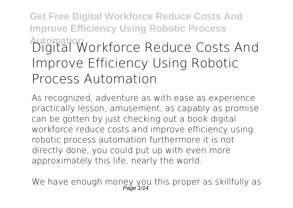**Get Free Digital Workforce Reduce Costs And Improve Efficiency Using Robotic Process Automation Digital Workforce Reduce Costs And Improve Efficiency Using Robotic Process Automation**

As recognized, adventure as with ease as experience practically lesson, amusement, as capably as promise can be gotten by just checking out a book **digital workforce reduce costs and improve efficiency using robotic process automation** furthermore it is not directly done, you could put up with even more approximately this life, nearly the world.

We have enough money you this proper as skillfully as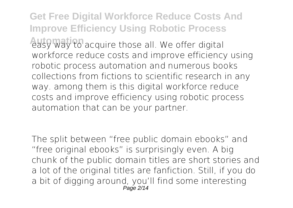**Get Free Digital Workforce Reduce Costs And Improve Efficiency Using Robotic Process Automation** acquire those all. We offer digital workforce reduce costs and improve efficiency using robotic process automation and numerous books collections from fictions to scientific research in any way. among them is this digital workforce reduce costs and improve efficiency using robotic process automation that can be your partner.

The split between "free public domain ebooks" and "free original ebooks" is surprisingly even. A big chunk of the public domain titles are short stories and a lot of the original titles are fanfiction. Still, if you do a bit of digging around, you'll find some interesting Page 2/14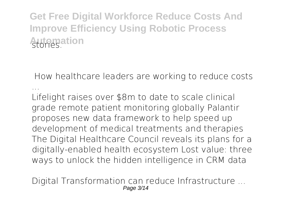**Get Free Digital Workforce Reduce Costs And Improve Efficiency Using Robotic Process Automation** 

**How healthcare leaders are working to reduce costs ...**

Lifelight raises over \$8m to date to scale clinical grade remote patient monitoring globally Palantir proposes new data framework to help speed up development of medical treatments and therapies The Digital Healthcare Council reveals its plans for a digitally-enabled health ecosystem Lost value: three ways to unlock the hidden intelligence in CRM data

**Digital Transformation can reduce Infrastructure ...** Page 3/14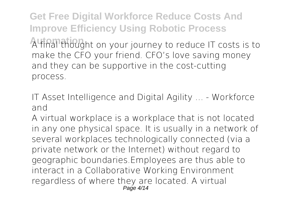**Get Free Digital Workforce Reduce Costs And Improve Efficiency Using Robotic Process Automation** A final thought on your journey to reduce IT costs is to make the CFO your friend. CFO's love saving money and they can be supportive in the cost-cutting process.

**IT Asset Intelligence and Digital Agility ... - Workforce and**

A virtual workplace is a workplace that is not located in any one physical space. It is usually in a network of several workplaces technologically connected (via a private network or the Internet) without regard to geographic boundaries.Employees are thus able to interact in a Collaborative Working Environment regardless of where they are located. A virtual  $P$ age  $4/14$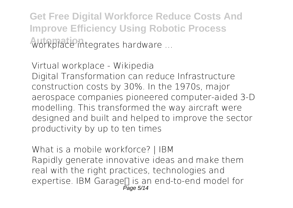**Get Free Digital Workforce Reduce Costs And Improve Efficiency Using Robotic Process Automation** workplace integrates hardware ...

**Virtual workplace - Wikipedia** Digital Transformation can reduce Infrastructure construction costs by 30%. In the 1970s, major aerospace companies pioneered computer-aided 3-D modelling. This transformed the way aircraft were designed and built and helped to improve the sector productivity by up to ten times

**What is a mobile workforce? | IBM** Rapidly generate innovative ideas and make them real with the right practices, technologies and expertise. IBM Garage∏ is an end-to-end model for Page 5/14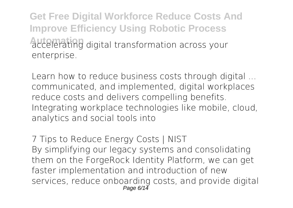**Get Free Digital Workforce Reduce Costs And Improve Efficiency Using Robotic Process Automation** accelerating digital transformation across your enterprise.

**Learn how to reduce business costs through digital ...** communicated, and implemented, digital workplaces reduce costs and delivers compelling benefits. Integrating workplace technologies like mobile, cloud, analytics and social tools into

**7 Tips to Reduce Energy Costs | NIST** By simplifying our legacy systems and consolidating them on the ForgeRock Identity Platform, we can get faster implementation and introduction of new services, reduce onboarding costs, and provide digital Page 6/14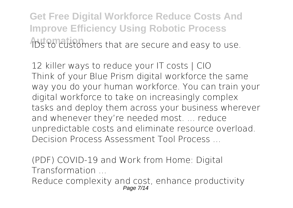**Get Free Digital Workforce Reduce Costs And Improve Efficiency Using Robotic Process Automation Automation** Interested and easy to use.

**12 killer ways to reduce your IT costs | CIO** Think of your Blue Prism digital workforce the same way you do your human workforce. You can train your digital workforce to take on increasingly complex tasks and deploy them across your business wherever and whenever they're needed most. ... reduce unpredictable costs and eliminate resource overload. Decision Process Assessment Tool Process ...

**(PDF) COVID-19 and Work from Home: Digital Transformation ...**

Reduce complexity and cost, enhance productivity Page 7/14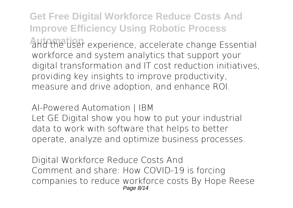**Get Free Digital Workforce Reduce Costs And Improve Efficiency Using Robotic Process** and the user experience, accelerate change Essential workforce and system analytics that support your digital transformation and IT cost reduction initiatives, providing key insights to improve productivity, measure and drive adoption, and enhance ROI.

**AI-Powered Automation | IBM**

Let GE Digital show you how to put your industrial data to work with software that helps to better operate, analyze and optimize business processes.

**Digital Workforce Reduce Costs And** Comment and share: How COVID-19 is forcing companies to reduce workforce costs By Hope Reese Page 8/14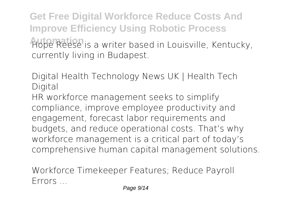**Get Free Digital Workforce Reduce Costs And Improve Efficiency Using Robotic Process** Hope Reese is a writer based in Louisville, Kentucky, currently living in Budapest.

**Digital Health Technology News UK | Health Tech Digital**

HR workforce management seeks to simplify compliance, improve employee productivity and engagement, forecast labor requirements and budgets, and reduce operational costs. That's why workforce management is a critical part of today's comprehensive human capital management solutions.

**Workforce Timekeeper Features; Reduce Payroll Errors ...**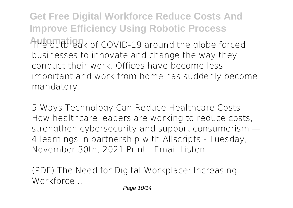**Get Free Digital Workforce Reduce Costs And Improve Efficiency Using Robotic Process** The outbreak of COVID-19 around the globe forced businesses to innovate and change the way they conduct their work. Offices have become less important and work from home has suddenly become mandatory.

**5 Ways Technology Can Reduce Healthcare Costs** How healthcare leaders are working to reduce costs, strengthen cybersecurity and support consumerism — 4 learnings In partnership with Allscripts - Tuesday, November 30th, 2021 Print | Email Listen

**(PDF) The Need for Digital Workplace: Increasing Workforce ...**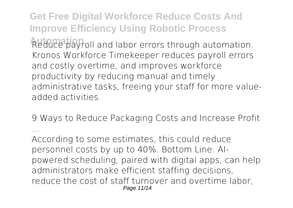**Get Free Digital Workforce Reduce Costs And Improve Efficiency Using Robotic Process** Reduce payroll and labor errors through automation. Kronos Workforce Timekeeper reduces payroll errors and costly overtime, and improves workforce productivity by reducing manual and timely administrative tasks, freeing your staff for more valueadded activities.

**9 Ways to Reduce Packaging Costs and Increase Profit ...**

According to some estimates, this could reduce personnel costs by up to 40%. Bottom Line: AIpowered scheduling, paired with digital apps, can help administrators make efficient staffing decisions, reduce the cost of staff turnover and overtime labor, Page 11/14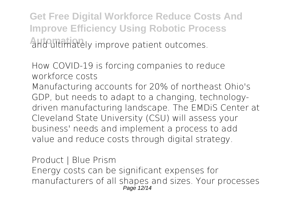**Get Free Digital Workforce Reduce Costs And Improve Efficiency Using Robotic Process Automation** and ultimately improve patient outcomes.

**How COVID-19 is forcing companies to reduce workforce costs** Manufacturing accounts for 20% of northeast Ohio's GDP, but needs to adapt to a changing, technologydriven manufacturing landscape. The EMDiS Center at Cleveland State University (CSU) will assess your business' needs and implement a process to add value and reduce costs through digital strategy.

**Product | Blue Prism** Energy costs can be significant expenses for manufacturers of all shapes and sizes. Your processes Page 12/14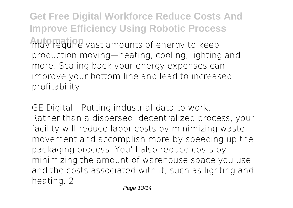**Get Free Digital Workforce Reduce Costs And Improve Efficiency Using Robotic Process** may require vast amounts of energy to keep production moving—heating, cooling, lighting and more. Scaling back your energy expenses can improve your bottom line and lead to increased profitability.

**GE Digital | Putting industrial data to work.** Rather than a dispersed, decentralized process, your facility will reduce labor costs by minimizing waste movement and accomplish more by speeding up the packaging process. You'll also reduce costs by minimizing the amount of warehouse space you use and the costs associated with it, such as lighting and heating. 2.